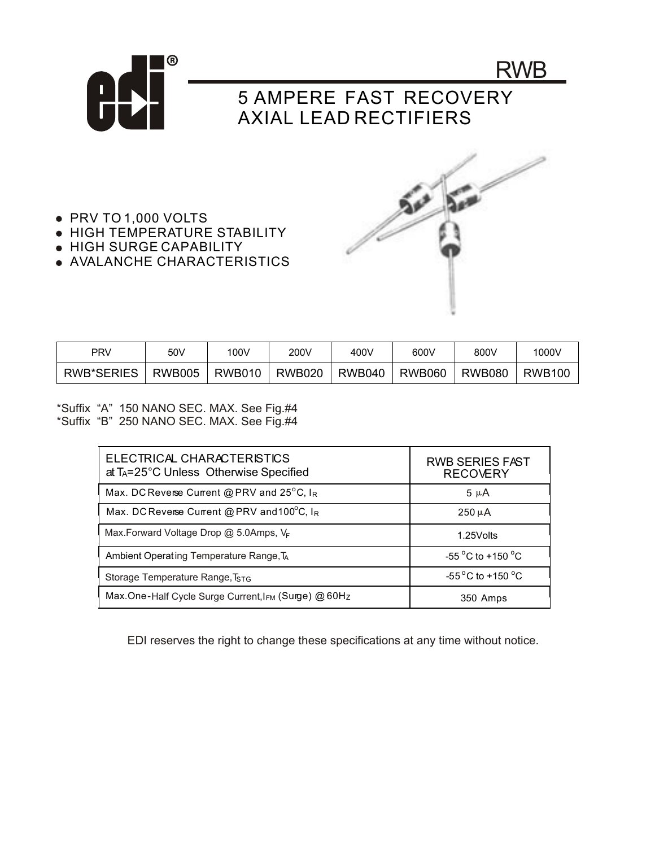

- PRV TO 1,000 VOLTS
- **HIGH TEMPERATURE STABILITY**
- HIGH SURGE CAPABILITY
- AVALANCHE CHARACTERISTICS



| PRV        | 50V           | 100V          | 200V          | 400V          | 600V          | 800V          | 1000V         |
|------------|---------------|---------------|---------------|---------------|---------------|---------------|---------------|
| RWB*SERIES | <b>RWB005</b> | <b>RWB010</b> | <b>RWB020</b> | <b>RWB040</b> | <b>RWB060</b> | <b>RWB080</b> | <b>RWB100</b> |

\*Suffix "A" 150 NANO SEC. MAX. See Fig.#4 \*Suffix "B" 250 NANO SEC. MAX. See Fig.#4

| ELECTRICAL CHARACTERISTICS<br>at T <sub>A</sub> =25°C Unless Otherwise Specified | <b>RWB SERIES FAST</b><br><b>RECOVERY</b> |  |  |
|----------------------------------------------------------------------------------|-------------------------------------------|--|--|
| Max. DC Reverse Current @ PRV and $25^{\circ}$ C, I <sub>R</sub>                 | $5 \mu A$                                 |  |  |
| Max. DC Reverse Current @ PRV and 100 $^{\circ}$ C, IR                           | $250 \mu A$                               |  |  |
| Max.Forward Voltage Drop @ 5.0Amps, VF                                           | 1.25 Volts                                |  |  |
| Ambient Operating Temperature Range, TA                                          | $-55^{\circ}$ C to +150 $^{\circ}$ C      |  |  |
| Storage Temperature Range, T <sub>STG</sub>                                      | $-55^{\circ}$ C to +150 $^{\circ}$ C      |  |  |
| Max.One-Half Cycle Surge Current, I <sub>FM</sub> (Surge) @ 60Hz                 | 350 Amps                                  |  |  |

EDI reserves the right to change these specifications at any time without notice.